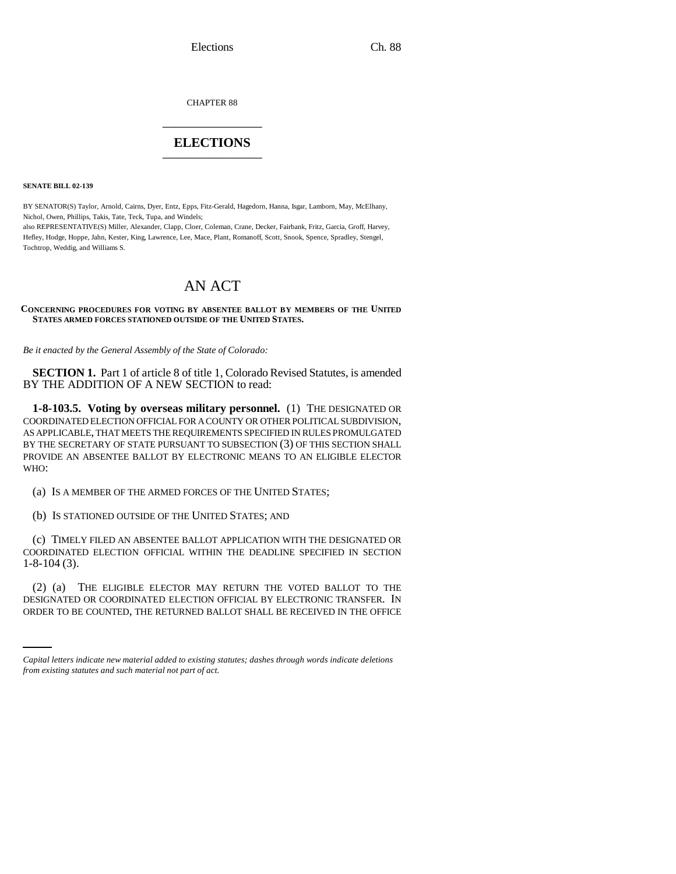Elections Ch. 88

CHAPTER 88 \_\_\_\_\_\_\_\_\_\_\_\_\_\_\_

## **ELECTIONS** \_\_\_\_\_\_\_\_\_\_\_\_\_\_\_

**SENATE BILL 02-139**

BY SENATOR(S) Taylor, Arnold, Cairns, Dyer, Entz, Epps, Fitz-Gerald, Hagedorn, Hanna, Isgar, Lamborn, May, McElhany, Nichol, Owen, Phillips, Takis, Tate, Teck, Tupa, and Windels;

also REPRESENTATIVE(S) Miller, Alexander, Clapp, Cloer, Coleman, Crane, Decker, Fairbank, Fritz, Garcia, Groff, Harvey, Hefley, Hodge, Hoppe, Jahn, Kester, King, Lawrence, Lee, Mace, Plant, Romanoff, Scott, Snook, Spence, Spradley, Stengel, Tochtrop, Weddig, and Williams S.

# AN ACT

#### **CONCERNING PROCEDURES FOR VOTING BY ABSENTEE BALLOT BY MEMBERS OF THE UNITED STATES ARMED FORCES STATIONED OUTSIDE OF THE UNITED STATES.**

*Be it enacted by the General Assembly of the State of Colorado:*

**SECTION 1.** Part 1 of article 8 of title 1, Colorado Revised Statutes, is amended BY THE ADDITION OF A NEW SECTION to read:

**1-8-103.5. Voting by overseas military personnel.** (1) THE DESIGNATED OR COORDINATED ELECTION OFFICIAL FOR A COUNTY OR OTHER POLITICAL SUBDIVISION, AS APPLICABLE, THAT MEETS THE REQUIREMENTS SPECIFIED IN RULES PROMULGATED BY THE SECRETARY OF STATE PURSUANT TO SUBSECTION (3) OF THIS SECTION SHALL PROVIDE AN ABSENTEE BALLOT BY ELECTRONIC MEANS TO AN ELIGIBLE ELECTOR WHO:

(a) IS A MEMBER OF THE ARMED FORCES OF THE UNITED STATES;

(b) IS STATIONED OUTSIDE OF THE UNITED STATES; AND

(c) TIMELY FILED AN ABSENTEE BALLOT APPLICATION WITH THE DESIGNATED OR COORDINATED ELECTION OFFICIAL WITHIN THE DEADLINE SPECIFIED IN SECTION 1-8-104 (3).

(2) (a) THE ELIGIBLE ELECTOR MAY RETURN THE VOTED BALLOT TO THE DESIGNATED OR COORDINATED ELECTION OFFICIAL BY ELECTRONIC TRANSFER. IN ORDER TO BE COUNTED, THE RETURNED BALLOT SHALL BE RECEIVED IN THE OFFICE

*Capital letters indicate new material added to existing statutes; dashes through words indicate deletions from existing statutes and such material not part of act.*